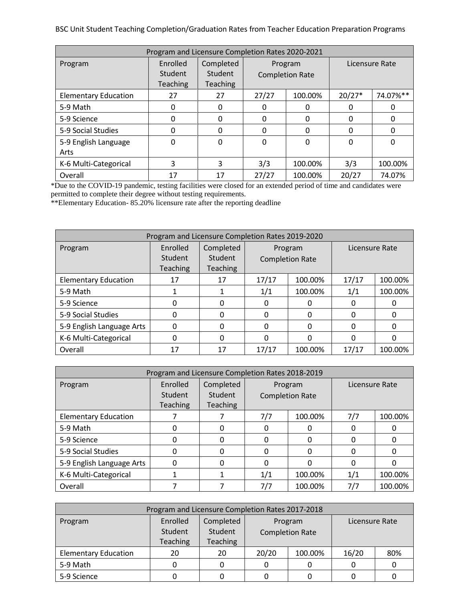BSC Unit Student Teaching Completion/Graduation Rates from Teacher Education Preparation Programs

| Program and Licensure Completion Rates 2020-2021 |                                        |                                         |                                   |          |                |          |  |  |
|--------------------------------------------------|----------------------------------------|-----------------------------------------|-----------------------------------|----------|----------------|----------|--|--|
| Program                                          | Enrolled<br>Student<br><b>Teaching</b> | Completed<br>Student<br><b>Teaching</b> | Program<br><b>Completion Rate</b> |          | Licensure Rate |          |  |  |
| <b>Elementary Education</b>                      | 27                                     | 27                                      | 27/27                             | 100.00%  | $20/27*$       | 74.07%** |  |  |
| 5-9 Math                                         | 0                                      | 0                                       | 0                                 | 0        | 0              | 0        |  |  |
| 5-9 Science                                      | 0                                      | 0                                       | 0                                 | 0        | 0              | 0        |  |  |
| 5-9 Social Studies                               | 0                                      | 0                                       | $\Omega$                          | 0        | 0              | 0        |  |  |
| 5-9 English Language<br>Arts                     | $\Omega$                               | 0                                       | $\Omega$                          | $\Omega$ | $\Omega$       | 0        |  |  |
| K-6 Multi-Categorical                            | 3                                      | 3                                       | 3/3                               | 100.00%  | 3/3            | 100.00%  |  |  |
| Overall                                          | 17                                     | 17                                      | 27/27                             | 100.00%  | 20/27          | 74.07%   |  |  |

\*Due to the COVID-19 pandemic, testing facilities were closed for an extended period of time and candidates were permitted to complete their degree without testing requirements.

\*\*Elementary Education- 85.20% licensure rate after the reporting deadline

| Program and Licensure Completion Rates 2019-2020 |                 |                 |                        |         |                |         |  |  |
|--------------------------------------------------|-----------------|-----------------|------------------------|---------|----------------|---------|--|--|
| Program                                          | Enrolled        | Completed       | Program                |         | Licensure Rate |         |  |  |
|                                                  | Student         | Student         | <b>Completion Rate</b> |         |                |         |  |  |
|                                                  | <b>Teaching</b> | <b>Teaching</b> |                        |         |                |         |  |  |
| <b>Elementary Education</b>                      | 17              | 17              | 17/17                  | 100.00% | 17/17          | 100.00% |  |  |
| 5-9 Math                                         |                 |                 | 1/1                    | 100.00% | 1/1            | 100.00% |  |  |
| 5-9 Science                                      | 0               | 0               | 0                      |         | 0              |         |  |  |
| 5-9 Social Studies                               |                 | 0               | <sup>0</sup>           |         | 0              | Ω       |  |  |
| 5-9 English Language Arts                        | 0               | 0               | 0                      | 0       | 0              | 0       |  |  |
| K-6 Multi-Categorical                            | 0               | 0               | $\Omega$               | O       | 0              | 0       |  |  |
| Overall                                          | 17              | 17              | 17/17                  | 100.00% | 17/17          | 100.00% |  |  |

| Program and Licensure Completion Rates 2018-2019 |                 |                 |                        |         |                |         |  |  |
|--------------------------------------------------|-----------------|-----------------|------------------------|---------|----------------|---------|--|--|
| Program                                          | Enrolled        | Completed       | Program                |         | Licensure Rate |         |  |  |
|                                                  | Student         | <b>Student</b>  | <b>Completion Rate</b> |         |                |         |  |  |
|                                                  | <b>Teaching</b> | <b>Teaching</b> |                        |         |                |         |  |  |
| <b>Elementary Education</b>                      |                 |                 | 7/7                    | 100.00% | 7/7            | 100.00% |  |  |
| 5-9 Math                                         | 0               | 0               | 0                      |         |                | 0       |  |  |
| 5-9 Science                                      | 0               | 0               | 0                      | O       | 0              | 0       |  |  |
| 5-9 Social Studies                               | 0               | 0               | 0                      | O       | 0              | 0       |  |  |
| 5-9 English Language Arts                        | 0               | 0               | 0                      | ი       | 0              | Ω       |  |  |
| K-6 Multi-Categorical                            |                 |                 | 1/1                    | 100.00% | 1/1            | 100.00% |  |  |
| Overall                                          |                 |                 | 7/7                    | 100.00% | 7/7            | 100.00% |  |  |

| Program and Licensure Completion Rates 2017-2018 |                     |                      |                        |         |                |     |  |  |
|--------------------------------------------------|---------------------|----------------------|------------------------|---------|----------------|-----|--|--|
| Program                                          | Enrolled<br>Student | Completed<br>Student |                        | Program | Licensure Rate |     |  |  |
|                                                  | <b>Teaching</b>     | <b>Teaching</b>      | <b>Completion Rate</b> |         |                |     |  |  |
| <b>Elementary Education</b>                      | 20                  | 20                   | 20/20                  | 100.00% | 16/20          | 80% |  |  |
| 5-9 Math                                         |                     |                      |                        |         |                |     |  |  |
| 5-9 Science                                      |                     |                      |                        |         |                |     |  |  |